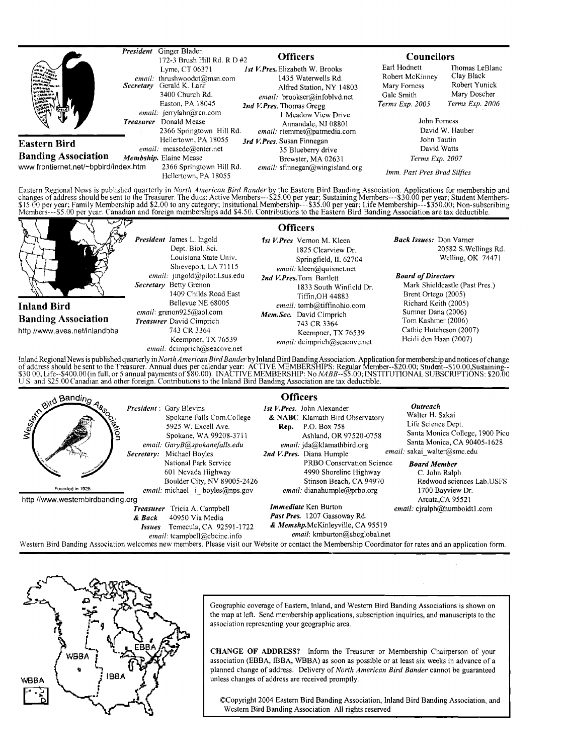|                                                                                                                | Ginger Bladen<br>President<br>172-3 Brush Hill Rd. R D #2                                                                                                                                                    | <b>Officers</b>                                                                                                                                                                                                                     |                                                                                                  | <b>Councilors</b>                                                                                   |  |
|----------------------------------------------------------------------------------------------------------------|--------------------------------------------------------------------------------------------------------------------------------------------------------------------------------------------------------------|-------------------------------------------------------------------------------------------------------------------------------------------------------------------------------------------------------------------------------------|--------------------------------------------------------------------------------------------------|-----------------------------------------------------------------------------------------------------|--|
| <b>HEIL FORK</b><br>DELAWARENA<br><b>VIRGINIA</b><br><b>WINDOWS</b><br>N CAROLINA.<br><b>Allen</b><br>65<br>∜ŀ | Lyme, CT 06371<br>email: thrushwoodct@msn.com<br>Secretary Gerald K. Lahr<br>3400 Church Rd.<br>Easton, PA 18045<br>email: jerrylahr@rcn.com<br>Donald Mease<br><b>Treasurer</b><br>2366 Springtown Hill Rd. | <b>Ist V.Pres.</b> Elizabeth W. Brooks<br>1435 Waterwells Rd.<br>Alfred Station, NY 14803<br>email: brookser@infoblvd.net<br>2nd V. Pres. Thomas Greeg<br>1 Meadow View Drive<br>Annandale, NJ 08801<br>email: rtemmet@patmedia.com | Earl Hodnett<br>Robert McKinney<br>Mary Forness<br>Gale Smith<br>Terms Exp. 2005<br>John Forness | Thomas LeBlanc<br>Clay Black<br>Robert Yunick<br>Mary Doscher<br>Terms Exp. 2006<br>David W. Hauber |  |
| Eastern Bird<br><b>Banding Association</b><br>www frontiernet.net/~bpbird/index.htm                            | Hellertown, PA 18055<br>email: measede@enter.net<br>Membship. Elaine Mease<br>2366 Springtown Hill Rd.<br>Hellertown, PA 18055                                                                               | 3rd V.Pres. Susan Finnegan<br>35 Blueberry drive<br>Brewster, MA 02631<br>$email:$ sfinnegan@wingisland.org                                                                                                                         | John Tautin<br>David Watts<br>Terms Exp. 2007<br>Imm. Past Pres Brad Silfies                     |                                                                                                     |  |

Eastern Regional News is published quarterly in *North American Bird Bander* by the Eastern Bird Banding Association. Applications for membership and<br>changes of address should be sent to the Treasurer. The dues: Active Mem

|                                                                                   |                                                                                                                                                                                                                                                                                                                                | <b>Officers</b>                                                                                                                                                                                                                                                                                                |                                                                                                                                                                                                                                                                                            |
|-----------------------------------------------------------------------------------|--------------------------------------------------------------------------------------------------------------------------------------------------------------------------------------------------------------------------------------------------------------------------------------------------------------------------------|----------------------------------------------------------------------------------------------------------------------------------------------------------------------------------------------------------------------------------------------------------------------------------------------------------------|--------------------------------------------------------------------------------------------------------------------------------------------------------------------------------------------------------------------------------------------------------------------------------------------|
| <b>Inland Bird</b><br><b>Banding Association</b><br>http //www.aves.net/inlandbba | <b>President</b> James L. Ingold<br>Dept. Biol. Sci.<br>Louisiana State Univ.<br>Shreveport, LA 71115<br>email: jingold@pilot.Lsus.edu<br>Secretary Betty Grenon<br>1409 Childs Road East<br>Bellevue NE 68005<br><i>email</i> : grenon $925@$ aol.com<br><b>Treasurer</b> David Cimprich<br>743 CR 3364<br>Keempner, TX 76539 | 1st V.Pres Vernon M. Kleen<br>1825 Clearview Dr.<br>Springfield, IL 62704<br>email: kleen@quixnet.net<br>2nd V. Pres. Tom Bartlett<br>1833 South Winfield Dr.<br>Tiffin.OH 44883<br>email: tomb@tiffinohio.com<br>Mem.Sec. David Cimprich<br>743 CR 3364<br>Keempner, TX 76539<br>email: dcimprich@seacove.net | <b>Back Issues:</b> Don Varner<br>20582 S. Wellings Rd.<br>Welling, OK 74471<br><b>Board of Directors</b><br>Mark Shieldcastle (Past Pres.)<br>Brent Ortego (2005)<br>Richard Keith (2005)<br>Sumner Dana (2006)<br>Tom Kashmer (2006)<br>Cathie Hutcheson (2007)<br>Heidi den Haan (2007) |
|                                                                                   | email: dcimprich@seacove.net                                                                                                                                                                                                                                                                                                   |                                                                                                                                                                                                                                                                                                                |                                                                                                                                                                                                                                                                                            |
|                                                                                   |                                                                                                                                                                                                                                                                                                                                | Inland Regional News is published quarterly in North American Bird Bander by Inland Bird Banding Association. Application for membership and notices of change of address should be sent to the Treasurer. Annual dues per cal                                                                                 |                                                                                                                                                                                                                                                                                            |

of address should be sent to the Treasurer. Annual dues per calendar year: ACTIVE MEMBERSHIPS: Regular Member--\$20.00; Student--\$10.00,Sustaining--<br>\$30 00, Life--\$400.00(in full, or 5 annual payments of \$80.00). INACTIVE M

| <b>Stra Bandino</b><br><b>Brion</b> | Secretary:                                  | <b>President</b> : Gary Blevins<br>Spokane Falls Com.College<br>5925 W. Excell Ave.<br>Spokane, WA 99208-3711<br>email: GaryB@spokanefalls.edu<br>Michael Boyles<br>National Park Service<br>601 Nevada Highway | <b>Officers</b><br><i>Ist V.Pres.</i> John Alexander<br>& NABC Klamath Bird Observatory<br>P.O. Box 758<br>Rep.<br>Ashland, OR 97520-0758<br>email: jda@klamathbird.org<br>2nd V. Pres. Diana Humple<br>PRBO Conservation Science<br>4990 Shoreline Highway | Outreach<br>Walter H. Sakai<br>Life Science Dept.<br>Santa Monica College, 1900 Pico<br>Santa Monica, CA 90405-1628<br>email: sakai walter@smc.edu<br><b>Board Member</b><br>C. John Ralph |
|-------------------------------------|---------------------------------------------|-----------------------------------------------------------------------------------------------------------------------------------------------------------------------------------------------------------------|-------------------------------------------------------------------------------------------------------------------------------------------------------------------------------------------------------------------------------------------------------------|--------------------------------------------------------------------------------------------------------------------------------------------------------------------------------------------|
| Founded in 1925                     |                                             | Boulder City, NV 89005-2426<br><i>email:</i> michael i boyles@nps.gov                                                                                                                                           | Stinson Beach, CA 94970<br>email: dianahumple@prbo.org                                                                                                                                                                                                      | Redwood sciences Lab.USFS<br>1700 Bayview Dr.                                                                                                                                              |
| http://www.westernbirdbanding.org   |                                             |                                                                                                                                                                                                                 |                                                                                                                                                                                                                                                             | Arcata, CA 95521                                                                                                                                                                           |
|                                     | <b>Treasurer</b><br>& Back<br><i>Issues</i> | Tricia A. Campbell<br>40950 Via Media<br>Temecula, CA 92591-1722<br>email: tcampbell@cbcinc.info                                                                                                                | <i>Immediate</i> Ken Burton<br>Past Pres. 1207 Gassoway Rd.<br>& Memshp.McKinleyville, CA 95519<br>email: kmburton@sbcglobal.net                                                                                                                            | email: cjralph@humboldt1.com                                                                                                                                                               |

**Westem Bird Banding Association welcomes new members. Please visit our Website or contacthe Membership Coordinator for rates and an application form.** 



Geographic coverage of Eastern, Inland, and Western Bird Banding Associations is shown on **the map at left. Send membership applications, subscription inquiries, and manuscripts to the association representing your geographic area.** 

**CHANGE OF ADDRESS? Inform the Treasurer or Membership Chairperson of your association (EBBA, IBBA, WBBA) as soon as possible or at least six weeks in advance of a planned change of address. Delivery of North American Bird Bander cannot be guaranteed unless changes of address are received promptly.** 

**¸Copyright 2004 Eastern Bird Banding Association, Inland Bird Banding Association, and Western Bird Banding Association All rights reserved**